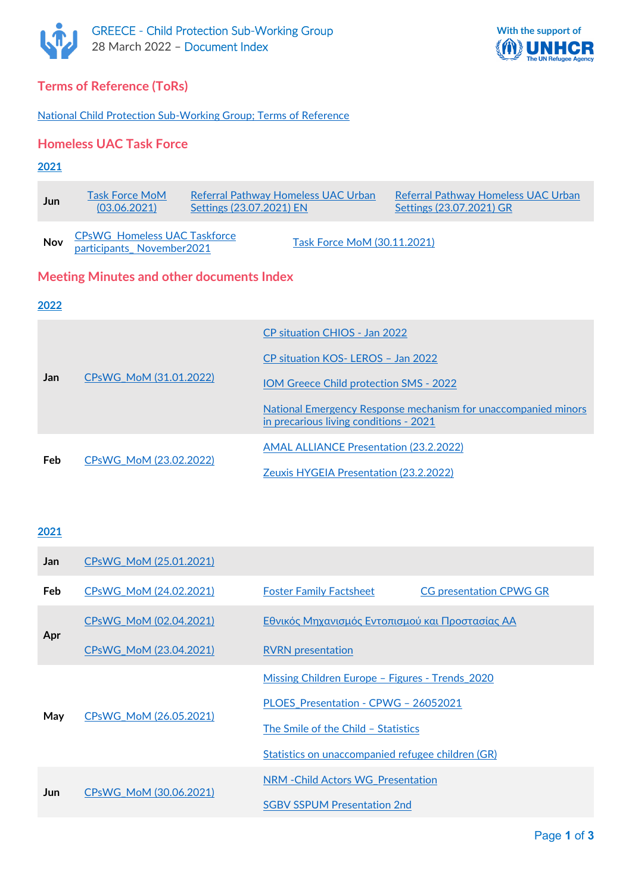



# **Terms of Reference (ToRs)**

[National Child Protection Sub-Working Group; Terms of Reference](https://data2.unhcr.org/en/documents/download/84830)

## **Homeless UAC Task Force**

#### **2021**

| <b>Jun</b> | Task Force MoM<br>(03.06.2021)                                   | Referral Pathway Homeless UAC Urban<br>Settings (23.07.2021) EN |                             | Referral Pathway Homeless UAC Urban<br>Settings (23.07.2021) GR |
|------------|------------------------------------------------------------------|-----------------------------------------------------------------|-----------------------------|-----------------------------------------------------------------|
| Nov        | <b>CPsWG Homeless UAC Taskforce</b><br>participants_November2021 |                                                                 | Task Force MoM (30.11.2021) |                                                                 |

## **Meeting Minutes and other documents Index**

#### **2022**

|     |                        | CP situation CHIOS - Jan 2022                                                                            |  |  |
|-----|------------------------|----------------------------------------------------------------------------------------------------------|--|--|
|     | CPsWG MoM (31.01.2022) | CP situation KOS-LEROS - Jan 2022                                                                        |  |  |
| Jan |                        | <b>IOM Greece Child protection SMS - 2022</b>                                                            |  |  |
|     |                        | National Emergency Response mechanism for unaccompanied minors<br>in precarious living conditions - 2021 |  |  |
| Feb |                        | <b>AMAL ALLIANCE Presentation (23.2.2022)</b>                                                            |  |  |
|     | CPsWG MoM (23.02.2022) | Zeuxis HYGEIA Presentation (23.2.2022)                                                                   |  |  |

### **2021**

| Jan  | CPsWG MoM (25.01.2021) |                                                   |                                |  |  |
|------|------------------------|---------------------------------------------------|--------------------------------|--|--|
| Feb  | CPsWG MoM (24.02.2021) | <b>Foster Family Factsheet</b>                    | <b>CG presentation CPWG GR</b> |  |  |
|      | CPsWG MoM (02.04.2021) | Εθνικός Μηχανισμός Εντοπισμού και Προστασίας ΑΑ   |                                |  |  |
| Apr  | CPsWG MoM (23.04.2021) | <b>RVRN</b> presentation                          |                                |  |  |
|      |                        | Missing Children Europe - Figures - Trends 2020   |                                |  |  |
| May  |                        | PLOES Presentation - CPWG - 26052021              |                                |  |  |
|      | CPsWG MoM (26.05.2021) | The Smile of the Child - Statistics               |                                |  |  |
|      |                        | Statistics on unaccompanied refugee children (GR) |                                |  |  |
| Jun. | CPsWG MoM (30.06.2021) | NRM - Child Actors WG Presentation                |                                |  |  |
|      |                        | <b>SGBV SSPUM Presentation 2nd</b>                |                                |  |  |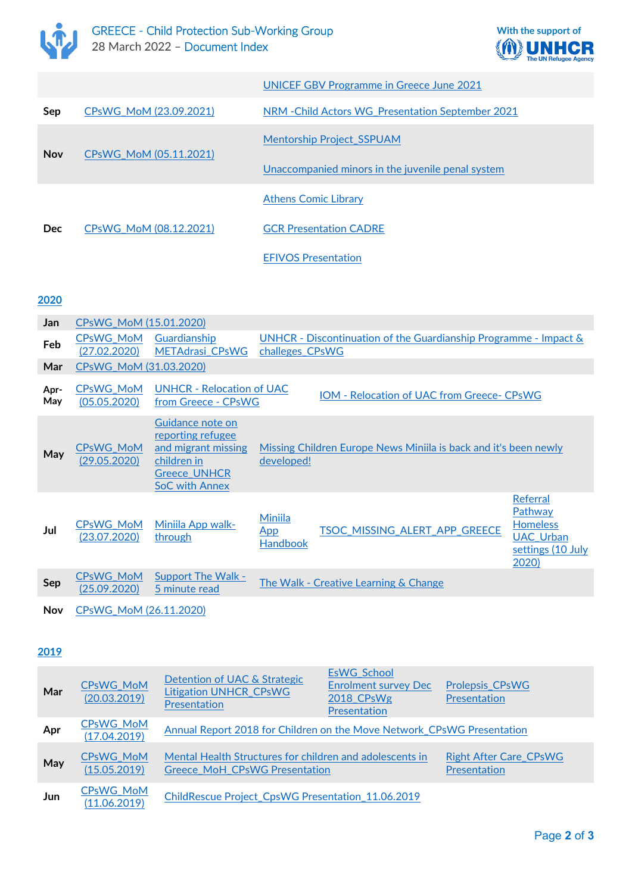



|            |                        | <b>UNICEF GBV Programme in Greece June 2021</b>   |
|------------|------------------------|---------------------------------------------------|
| Sep        | CPsWG MoM (23.09.2021) | NRM - Child Actors WG Presentation September 2021 |
| <b>Nov</b> | CPsWG MoM (05.11.2021) | <b>Mentorship Project SSPUAM</b>                  |
|            |                        | Unaccompanied minors in the juvenile penal system |
| <b>Dec</b> |                        | <b>Athens Comic Library</b>                       |
|            | CPsWG MoM (08.12.2021) | <b>GCR Presentation CADRE</b>                     |
|            |                        | <b>EFIVOS Presentation</b>                        |

### **2020**

| Jan                                                                           | CPsWG MoM (15.01.2020)           |                                                                                                                             |                                          |                                                                     |                                                                                          |
|-------------------------------------------------------------------------------|----------------------------------|-----------------------------------------------------------------------------------------------------------------------------|------------------------------------------|---------------------------------------------------------------------|------------------------------------------------------------------------------------------|
| Feb                                                                           | <b>CPsWG MoM</b><br>(27.02.2020) | Guardianship<br><b>METAdrasi CPsWG</b>                                                                                      | challeges CPsWG                          | UNHCR - Discontinuation of the Guardianship Programme - Impact $\&$ |                                                                                          |
| Mar                                                                           | CPsWG MoM (31.03.2020)           |                                                                                                                             |                                          |                                                                     |                                                                                          |
| Apr-<br>May                                                                   | <b>CPsWG MoM</b><br>(05.05.2020) | <b>UNHCR - Relocation of UAC</b><br>from Greece - CPsWG                                                                     |                                          | <b>IOM - Relocation of UAC from Greece- CPsWG</b>                   |                                                                                          |
| May                                                                           | <b>CPsWG MoM</b><br>(29.05.2020) | Guidance note on<br>reporting refugee<br>and migrant missing<br>children in<br><b>Greece_UNHCR</b><br><b>SoC with Annex</b> | developed!                               | Missing Children Europe News Miniila is back and it's been newly    |                                                                                          |
| Jul                                                                           | <b>CPsWG MoM</b><br>(23.07.2020) | Miniila App walk-<br>through                                                                                                | Miniila<br><u>App</u><br><b>Handbook</b> | TSOC_MISSING_ALERT_APP_GREECE                                       | Referral<br>Pathway<br><b>Homeless</b><br><b>UAC_Urban</b><br>settings (10 July<br>2020) |
| Sep                                                                           | <b>CPsWG MoM</b><br>(25.09.2020) | <b>Support The Walk -</b><br>5 minute read                                                                                  |                                          | The Walk - Creative Learning & Change                               |                                                                                          |
| $\mathbf{A}$ $\mathbf{B}$ $\mathbf{A}$ $\mathbf{B}$ $\mathbf{A}$ $\mathbf{B}$ | CDMCMA M MAMA                    |                                                                                                                             |                                          |                                                                     |                                                                                          |

**Nov** [CPsWG\\_MoM \(26.11.2020\)](https://data2.unhcr.org/en/documents/download/85090)

## **2019**

| Mar        | <b>CPsWG MoM</b><br>(20.03.2019) | Detention of UAC & Strategic<br><b>Litigation UNHCR CPsWG</b><br><b>Presentation</b>             | <b>EsWG School</b><br><b>Enrolment survey Dec</b><br>2018 CPsWg<br>Presentation | <b>Prolepsis CPsWG</b><br>Presentation        |
|------------|----------------------------------|--------------------------------------------------------------------------------------------------|---------------------------------------------------------------------------------|-----------------------------------------------|
| Apr        | <b>CPsWG MoM</b><br>(17.04.2019) | Annual Report 2018 for Children on the Move Network CPsWG Presentation                           |                                                                                 |                                               |
| May        | <b>CPsWG MoM</b><br>(15.05.2019) | Mental Health Structures for children and adolescents in<br><b>Greece MoH CPsWG Presentation</b> |                                                                                 | <b>Right After Care CPsWG</b><br>Presentation |
| <b>Jun</b> | <b>CPsWG MoM</b><br>(11.06.2019) | ChildRescue Project CpsWG Presentation 11.06.2019                                                |                                                                                 |                                               |